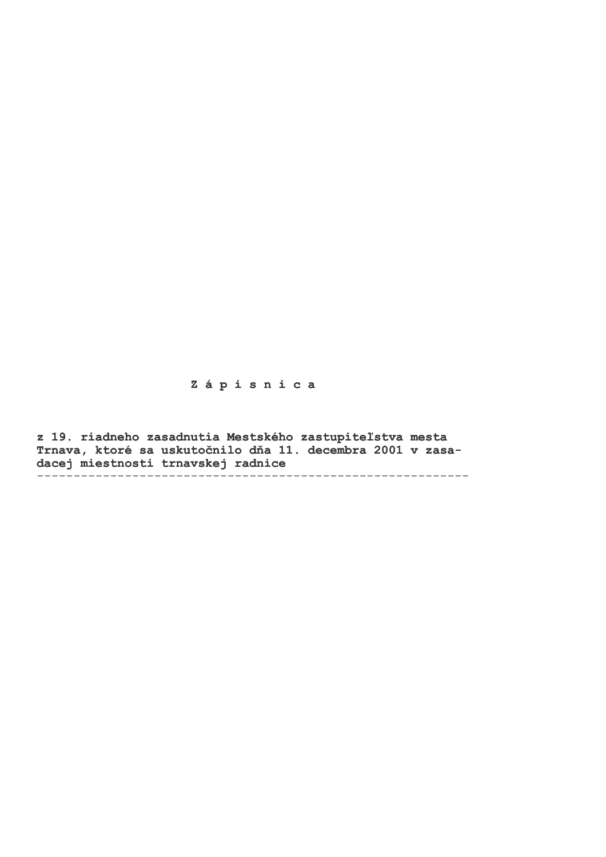# Zápisnica

z 19. riadneho zasadnutia Mestského zastupiteľstva mesta Trnava, ktoré sa uskutočnilo dňa 11. decembra 2001 v zasadacej miestnosti trnavskej radnice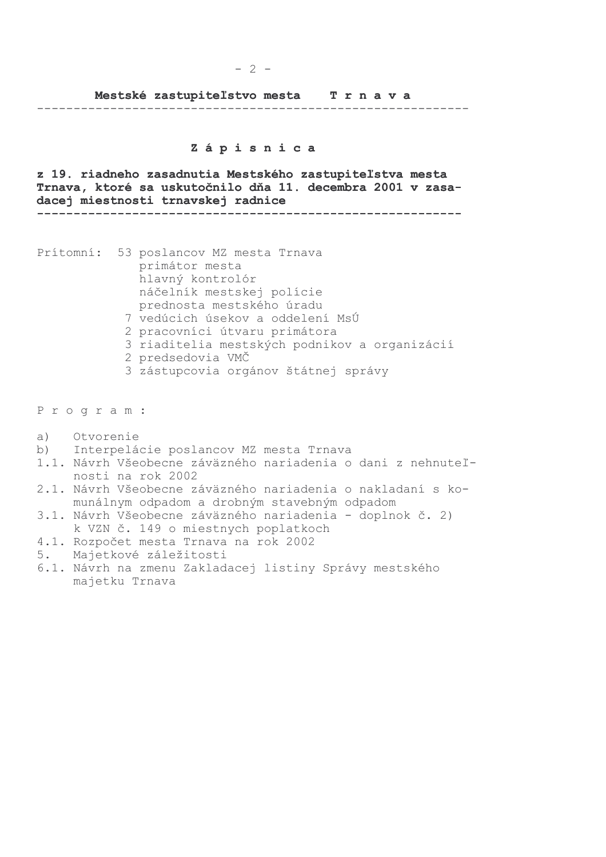Mestské zastupiteľstvo mesta Trnava

#### 

#### Zápisnica

z 19. riadneho zasadnutia Mestského zastupiteľstva mesta Trnava, ktoré sa uskutočnilo dňa 11. decembra 2001 v zasadacej miestnosti trnavskej radnice 

Prítomní: 53 poslancov MZ mesta Trnava primátor mesta hlavný kontrolór náčelník mestskej polície prednosta mestského úradu 7 vedúcich úsekov a oddelení MsÚ 2 pracovníci útvaru primátora

- 3 riaditelia mestských podnikov a organizácií
- 2 predsedovia VMČ
- 3 zástupcovia orgánov štátnej správy

Program:

- $a)$ Otvorenie
- $b)$ Interpelácie poslancov MZ mesta Trnava
- 1.1. Návrh Všeobecne záväzného nariadenia o dani z nehnuteľnosti na rok 2002
- 2.1. Návrh Všeobecne záväzného nariadenia o nakladaní s komunálnym odpadom a drobným stavebným odpadom
- 3.1. Návrh Všeobecne záväzného nariadenia doplnok č. 2) k VZN č. 149 o miestnych poplatkoch
- 4.1. Rozpočet mesta Trnava na rok 2002
- Majetkové záležitosti 5.
- 6.1. Návrh na zmenu Zakladacej listiny Správy mestského majetku Trnava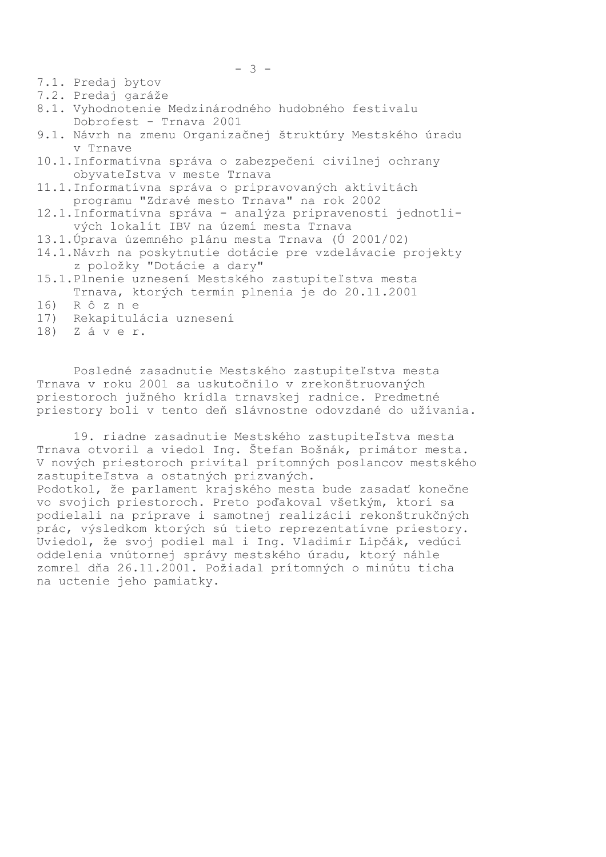7.1. Predaj bytov

7.2. Predaj garáže

- 8.1. Vyhodnotenie Medzinárodného hudobného festivalu Dobrofest - Trnava 2001
- 9.1. Návrh na zmenu Organizačnej štruktúry Mestského úradu v Trnave
- 10.1.Informatívna správa o zabezpečení civilnej ochrany obyvateľstva v meste Trnava
- 11.1.Informatívna správa o pripravovaných aktivitách programu "Zdravé mesto Trnava" na rok 2002
- 12.1.Informatívna správa analýza pripravenosti jednotlivých lokalít IBV na území mesta Trnava
- 13.1.Úprava územného plánu mesta Trnava (Ú 2001/02)
- 14.1. Návrh na poskytnutie dotácie pre vzdelávacie projekty z položky "Dotácie a dary"
- 15.1. Plnenie uznesení Mestského zastupiteľstva mesta Trnava, ktorých termín plnenia je do 20.11.2001
- $16)$ Rôzne
- 17) Rekapitulácia uznesení
- $18)$ Záver.

Posledné zasadnutie Mestského zastupiteľstva mesta Trnava v roku 2001 sa uskutočnilo v zrekonštruovaných priestoroch južného krídla trnavskej radnice. Predmetné priestory boli v tento deň slávnostne odovzdané do užívania.

19. riadne zasadnutie Mestského zastupiteľstva mesta Trnava otvoril a viedol Ing. Štefan Bošnák, primátor mesta. V nových priestoroch privítal prítomných poslancov mestského zastupiteľstva a ostatných prizvaných.

Podotkol, že parlament krajského mesta bude zasadať konečne vo svojich priestoroch. Preto poďakoval všetkým, ktorí sa podielali na príprave i samotnej realizácii rekonštrukčných prác, výsledkom ktorých sú tieto reprezentatívne priestory. Uviedol, že svoj podiel mal i Ing. Vladimír Lipčák, vedúci oddelenia vnútornej správy mestského úradu, ktorý náhle zomrel dňa 26.11.2001. Požiadal prítomných o minútu ticha na uctenie jeho pamiatky.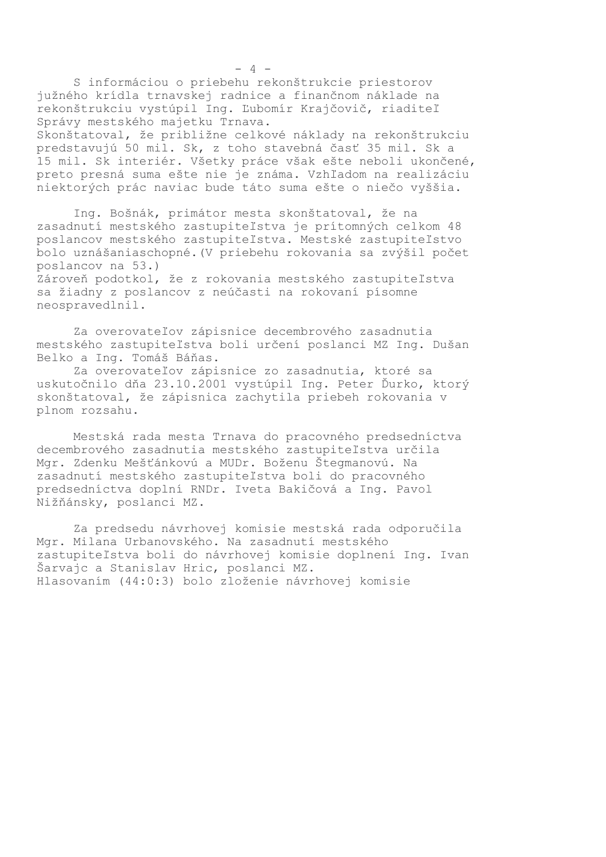S informáciou o priebehu rekonštrukcie priestorov južného krídla trnavskej radnice a finančnom náklade na rekonštrukciu vystúpil Ing. Ľubomír Krajčovič, riaditeľ Správy mestského majetku Trnava. Skonštatoval, že približne celkové náklady na rekonštrukciu predstavujú 50 mil. Sk, z toho stavebná časť 35 mil. Sk a 15 mil. Sk interiér. Všetky práce však ešte neboli ukončené, preto presná suma ešte nie je známa. Vzhľadom na realizáciu niektorých prác naviac bude táto suma ešte o niečo vyššia.

Ing. Bošnák, primátor mesta skonštatoval, že na zasadnutí mestského zastupiteľstva je prítomných celkom 48 poslancov mestského zastupiteľstva. Mestské zastupiteľstvo bolo uznášaniaschopné. (V priebehu rokovania sa zvýšil počet poslancov na 53.) Zároveň podotkol, že z rokovania mestského zastupiteľstva sa žiadny z poslancov z neúčasti na rokovaní písomne neospravedlnil.

Za overovateľov zápisnice decembrového zasadnutia mestského zastupiteľstva boli určení poslanci MZ Ing. Dušan Belko a Ing. Tomáš Báňas.

Za overovateľov zápisnice zo zasadnutia, ktoré sa uskutočnilo dňa 23.10.2001 vystúpil Ing. Peter Ďurko, ktorý skonštatoval, že zápisnica zachytila priebeh rokovania v plnom rozsahu.

Mestská rada mesta Trnava do pracovného predsedníctva decembrového zasadnutia mestského zastupiteľstva určila Mgr. Zdenku Mešťánkovú a MUDr. Boženu Štegmanovú. Na zasadnutí mestského zastupiteľstva boli do pracovného predsedníctva doplní RNDr. Iveta Bakičová a Ing. Pavol Nižňánsky, poslanci MZ.

Za predsedu návrhovej komisie mestská rada odporučila Mgr. Milana Urbanovského. Na zasadnutí mestského zastupiteľstva boli do návrhovej komisie doplnení Ing. Ivan Šarvajc a Stanislav Hric, poslanci MZ. Hlasovaním (44:0:3) bolo zloženie návrhovej komisie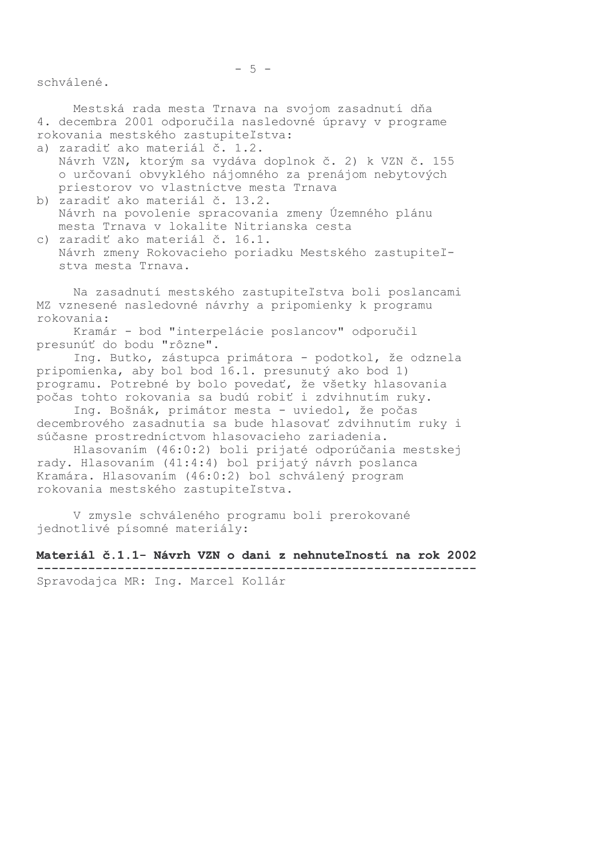schválené.

Mestská rada mesta Trnava na svojom zasadnutí dňa 4. decembra 2001 odporučila nasledovné úpravy v programe rokovania mestského zastupiteľstva:

a) zaradiť ako materiál č. 1.2.

- Návrh VZN, ktorým sa vydáva doplnok č. 2) k VZN č. 155 o určovaní obvyklého nájomného za prenájom nebytových priestorov vo vlastníctve mesta Trnava
- b) zaradiť ako materiál č. 13.2. Návrh na povolenie spracovania zmeny Územného plánu mesta Trnava v lokalite Nitrianska cesta
- c) zaradiť ako materiál č. 16.1. Návrh zmeny Rokovacieho poriadku Mestského zastupiteľstya mesta Trnava.

Na zasadnutí mestského zastupiteľstva boli poslancami MZ vznesené nasledovné návrhy a pripomienky k programu rokovania:

Kramár - bod "interpelácie poslancov" odporučil presunúť do bodu "rôzne".

Ing. Butko, zástupca primátora - podotkol, že odznela pripomienka, aby bol bod 16.1. presunutý ako bod 1) programu. Potrebné by bolo povedať, že všetky hlasovania počas tohto rokovania sa budú robiť i zdvihnutím ruky.

Ing. Bošnák, primátor mesta - uviedol, že počas decembrového zasadnutia sa bude hlasovať zdvihnutím ruky i súčasne prostredníctvom hlasovacieho zariadenia.

Hlasovaním (46:0:2) boli prijaté odporúčania mestskej rady. Hlasovaním (41:4:4) bol prijatý návrh poslanca Kramára. Hlasovaním (46:0:2) bol schválený program rokovania mestského zastupiteľstva.

V zmysle schváleného programu boli prerokované jednotlivé písomné materiály:

### Materiál č.1.1- Návrh VZN o dani z nehnuteľností na rok 2002

Spravodajca MR: Ing. Marcel Kollár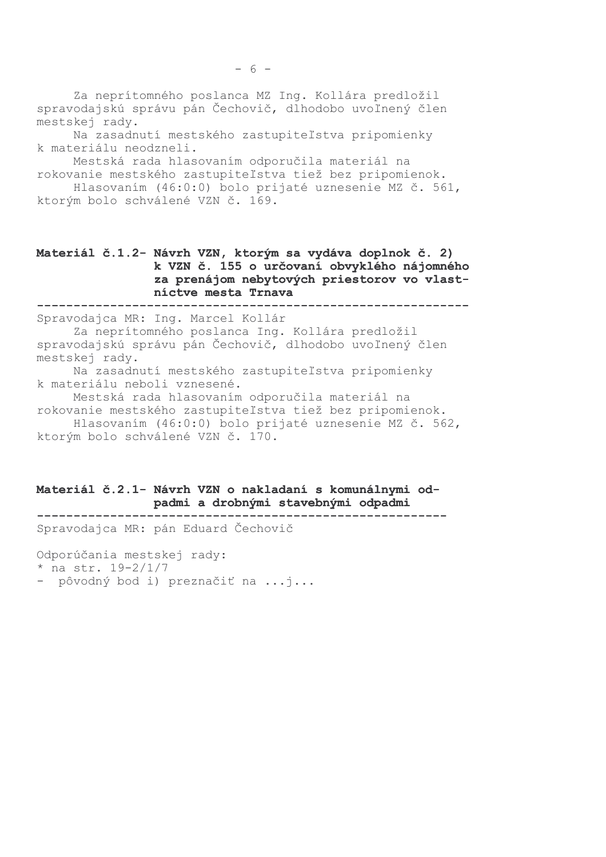Za neprítomného poslanca MZ Ing. Kollára predložil spravodajskú správu pán Čechovič, dlhodobo uvoľnený člen mestskej rady.

Na zasadnutí mestského zastupiteľstva pripomienky k materiálu neodzneli.

Mestská rada hlasovaním odporučila materiál na rokovanie mestského zastupiteľstva tiež bez pripomienok.

Hlasovaním (46:0:0) bolo prijaté uznesenie MZ č. 561, ktorým bolo schválené VZN č. 169.

### Materiál č.1.2- Návrh VZN, ktorým sa vydáva doplnok č. 2) k VZN č. 155 o určovaní obvyklého nájomného za prenájom nebytových priestorov vo vlastníctve mesta Trnava

Spravodajca MR: Ing. Marcel Kollár Za neprítomného poslanca Ing. Kollára predložil spravodajskú správu pán Čechovič, dlhodobo uvoľnený člen mestskej rady.

Na zasadnutí mestského zastupiteľstva pripomienky k materiálu neboli vznesené.

Mestská rada hlasovaním odporučila materiál na rokovanie mestského zastupiteľstva tiež bez pripomienok. Hlasovaním (46:0:0) bolo prijaté uznesenie MZ č. 562, ktorým bolo schválené VZN č. 170.

#### Materiál č.2.1- Návrh VZN o nakladaní s komunálnymi odpadmi a drobnými stavebnými odpadmi

Spravodajca MR: pán Eduard Čechovič

Odporúčania mestskej rady:

\* na str.  $19-2/1/7$ 

- pôvodný bod i) preznačiť na ...j...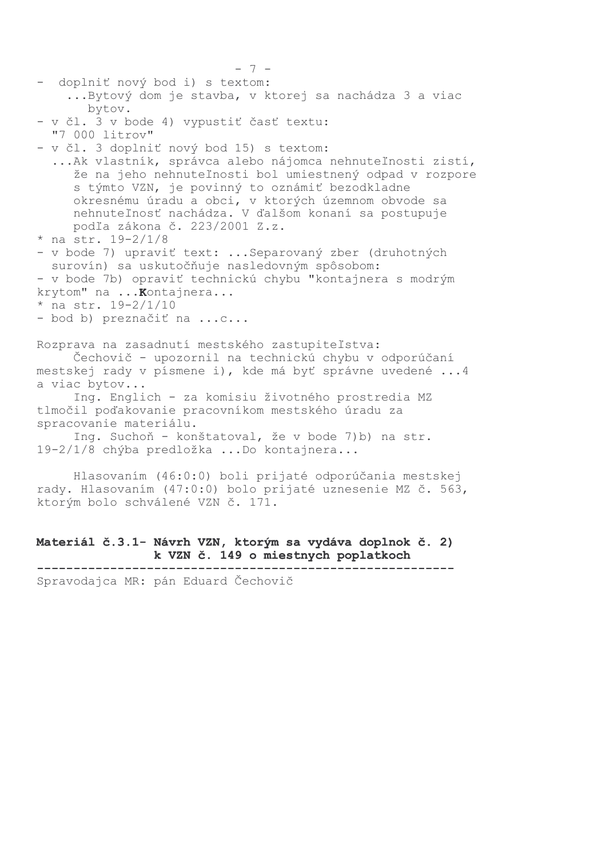```
- doplniť nový bod i) s textom:
    ... Bytový dom je stavba, v ktorej sa nachádza 3 a viac
       bytov.
- v čl. 3 v bode 4) vypustiť časť textu:
  "7 000 litrov"
- v čl. 3 doplniť nový bod 15) s textom:
  ... Ak vlastník, správca alebo nájomca nehnuteľnosti zistí,
     že na jeho nehnuteľnosti bol umiestnený odpad v rozpore
     s týmto VZN, je povinný to oznámiť bezodkladne
     okresnému úradu a obci, v ktorých územnom obvode sa
     nehnuteľnosť nachádza. V ďalšom konaní sa postupuje
    podľa zákona č. 223/2001 Z.z.
* na str. 19-2/1/8- v bode 7) upraviť text: ... Separovaný zber (druhotných
 surovín) sa uskutočňuje nasledovným spôsobom:
- v bode 7b) opraviť technickú chybu "kontajnera s modrým
krytom" na ... Kontajnera...
* na str. 19-2/1/10- bod b) preznačiť na ...c...
Rozprava na zasadnutí mestského zastupiteľstva:
     Čechovič - upozornil na technickú chybu v odporúčaní
mestskej rady v písmene i), kde má byť správne uvedené ...4
a viac bytov...
     Ing. Englich - za komisiu životného prostredia MZ
tlmočil poďakovanie pracovníkom mestského úradu za
spracovanie materiálu.
     Ing. Suchoň - konštatoval, že v bode 7)b) na str.
19-2/1/8 chýba predložka ...Do kontajnera...
```
 $-7-$ 

Hlasovaním (46:0:0) boli prijaté odporúčania mestskej rady. Hlasovaním (47:0:0) bolo prijaté uznesenie MZ č. 563, ktorým bolo schválené VZN č. 171.

## Materiál č.3.1- Návrh VZN, ktorým sa vydáva doplnok č. 2) k VZN č. 149 o miestnych poplatkoch

Spravodajca MR: pán Eduard Čechovič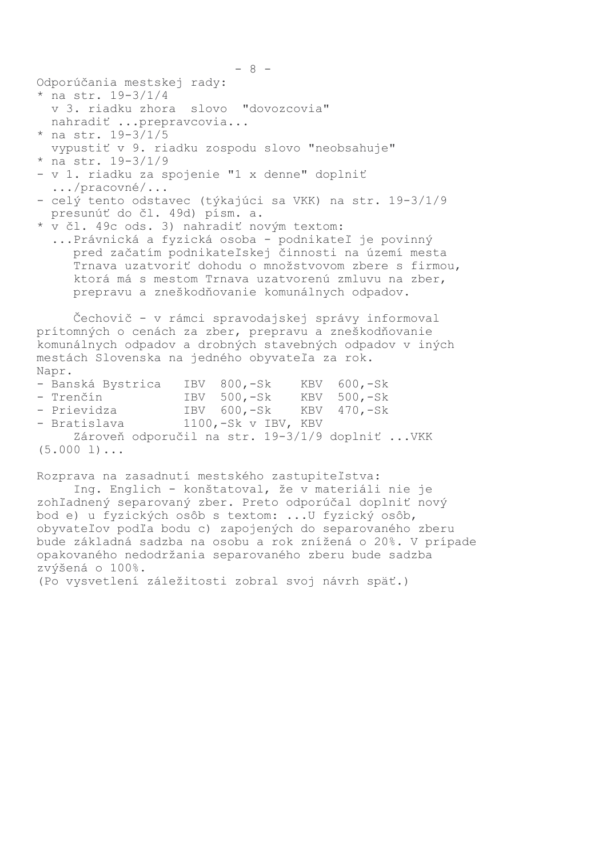Odporúčania mestskej rady:

- \* na str.  $19-3/1/4$ v 3. riadku zhora slovo "dovozcovia" nahradiť ... prepravcovia...
- \* na str.  $19-3/1/5$

```
vypustiť v 9. riadku zospodu slovo "neobsahuje"
```
- \* na str.  $19-3/1/9$
- v 1. riadku za spojenie "1 x denne" doplniť  $\ldots$ /pracovné/ $\ldots$
- celý tento odstavec (týkajúci sa VKK) na str. 19-3/1/9 presunúť do čl. 49d) písm. a.
- \* v čl. 49c ods. 3) nahradiť novým textom:
	- ... Právnická a fyzická osoba podnikateľ je povinný pred začatím podnikateľskej činnosti na území mesta Trnava uzatvoriť dohodu o množstvovom zbere s firmou, ktorá má s mestom Trnava uzatvorenú zmluvu na zber, prepravu a zneškodňovanie komunálnych odpadov.

Čechovič - v rámci spravodajskej správy informoval prítomných o cenách za zber, prepravu a zneškodňovanie komunálnych odpadov a drobných stavebných odpadov v iných mestách Slovenska na jedného obyvateľa za rok. Napr.

- Banská Bystrica IBV 800,-Sk **KBV**  $600, -Sk$ - Trenčín IBV 500,-Sk KBV 500,-Sk IBV 600,-Sk KBV - Prievidza  $470, -Sk$ - Bratislava  $1100, -Sk$  v IBV, KBV Zároveň odporučil na str. 19-3/1/9 doplniť ... VKK  $(5.000 1) \ldots$ 

Rozprava na zasadnutí mestského zastupiteľstva:

Ing. Englich - konštatoval, že v materiáli nie je zohľadnený separovaný zber. Preto odporúčal doplniť nový bod e) u fyzických osôb s textom: ... U fyzický osôb, obyvateľov podľa bodu c) zapojených do separovaného zberu bude základná sadzba na osobu a rok znížená o 20%. V prípade opakovaného nedodržania separovaného zberu bude sadzba zvýšená o 100%.

(Po vysvetlení záležitosti zobral svoj návrh späť.)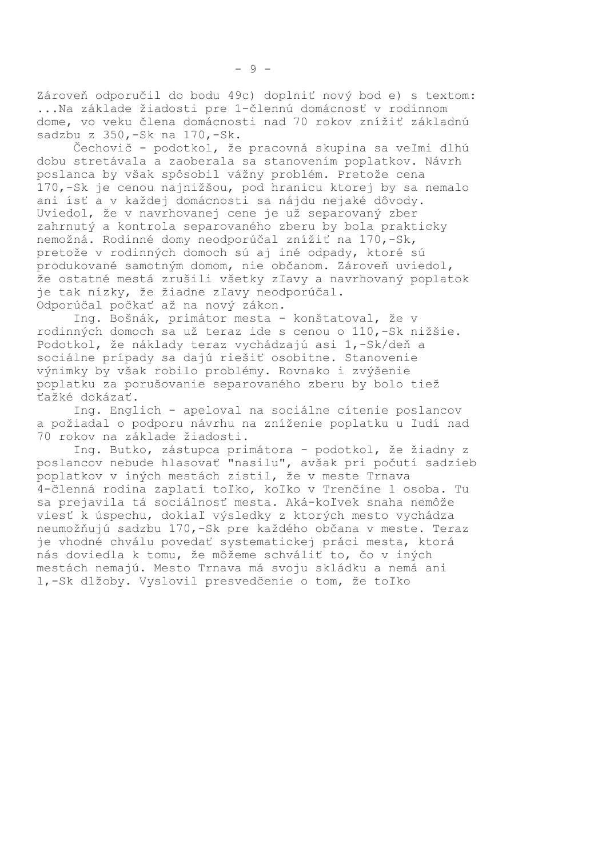Zároveň odporučil do bodu 49c) doplniť nový bod e) s textom: ... Na základe žiadosti pre 1-člennú domácnosť v rodinnom dome, vo veku člena domácnosti nad 70 rokov znížiť základnú sadzbu z 350,-Sk na 170,-Sk.

Čechovič - podotkol, že pracovná skupina sa veľmi dlhú dobu stretávala a zaoberala sa stanovením poplatkov. Návrh poslanca by však spôsobil vážny problém. Pretože cena 170,-Sk je cenou najnižšou, pod hranicu ktorej by sa nemalo ani ísť a v každej domácnosti sa nájdu nejaké dôvody. Uviedol, že v navrhovanej cene je už separovaný zber zahrnutý a kontrola separovaného zberu by bola prakticky nemožná. Rodinné domy neodporúčal znížiť na 170,-Sk, pretože v rodinných domoch sú aj iné odpady, ktoré sú produkované samotným domom, nie občanom. Zároveň uviedol, že ostatné mestá zrušili všetky zľavy a navrhovaný poplatok je tak nízky, že žiadne zľavy neodporúčal. Odporúčal počkať až na nový zákon.

Ing. Bošnák, primátor mesta - konštatoval, že v rodinných domoch sa už teraz ide s cenou o 110,-Sk nižšie. Podotkol, že náklady teraz vychádzajú asi 1,-Sk/deň a sociálne prípady sa dajú riešiť osobitne. Stanovenie výnimky by však robilo problémy. Rovnako i zvýšenie poplatku za porušovanie separovaného zberu by bolo tiež ťažké dokázať.

Ing. Englich - apeloval na sociálne cítenie poslancov a požiadal o podporu návrhu na zníženie poplatku u ľudí nad 70 rokov na základe žiadosti.

Ing. Butko, zástupca primátora - podotkol, že žiadny z poslancov nebude hlasovať "nasilu", avšak pri počutí sadzieb poplatkov v iných mestách zistil, že v meste Trnava 4-členná rodina zaplatí toľko, koľko v Trenčíne 1 osoba. Tu sa prejavila tá sociálnosť mesta. Aká-koľvek snaha nemôže viesť k úspechu, dokiaľ výsledky z ktorých mesto vychádza neumožňujú sadzbu 170,-Sk pre každého občana v meste. Teraz je vhodné chválu povedať systematickej práci mesta, ktorá nás doviedla k tomu, že môžeme schváliť to, čo v iných mestách nemajú. Mesto Trnava má svoju skládku a nemá ani 1,-Sk dlžoby. Vyslovil presvedčenie o tom, že toľko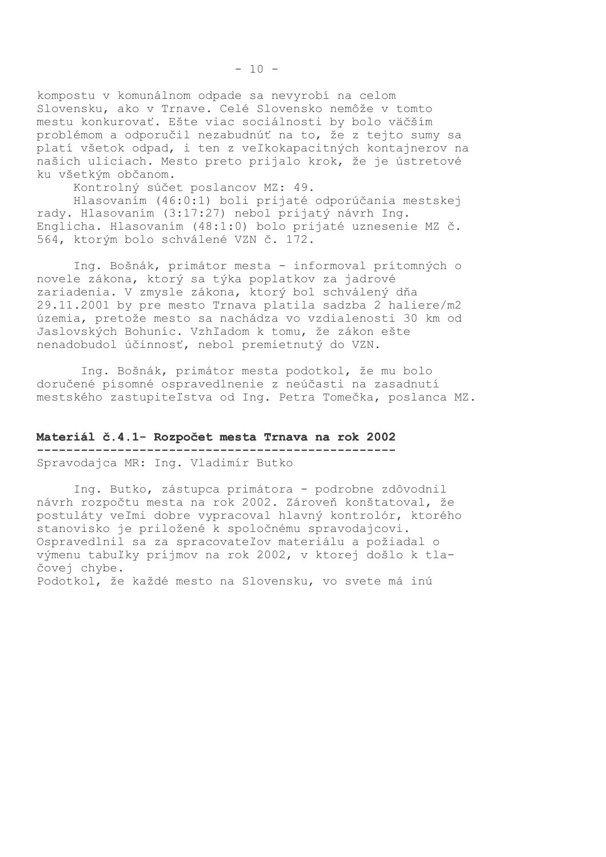kompostu v komunálnom odpade sa nevyrobí na celom Slovensku, ako v Trnave. Celé Slovensko nemôže v tomto mestu konkurovať. Ešte viac sociálnosti by bolo väčším problémom a odporučil nezabudnúť na to, že z tejto sumy sa platí všetok odpad, i ten z veľkokapacitných kontajnerov na našich uliciach. Mesto preto prijalo krok, že je ústretové ku všetkým občanom.

Kontrolný súčet poslancov MZ: 49.

Hlasovaním (46:0:1) boli prijaté odporúčania mestskej rady. Hlasovaním (3:17:27) nebol prijatý návrh Ing. Englicha. Hlasovaním (48:1:0) bolo prijaté uznesenie MZ č. 564, ktorým bolo schválené VZN č. 172.

Ing. Bošnák, primátor mesta - informoval prítomných o novele zákona, ktorý sa týka poplatkov za jadrové zariadenia. V zmysle zákona, ktorý bol schválený dňa 29.11.2001 by pre mesto Trnava platila sadzba 2 haliere/m2 územia, pretože mesto sa nachádza vo vzdialenosti 30 km od Jaslovských Bohuníc. Vzhľadom k tomu, že zákon ešte nenadobudol účinnosť, nebol premietnutý do VZN.

Ing. Bošnák, primátor mesta podotkol, že mu bolo doručené písomné ospravedlnenie z neúčasti na zasadnutí mestského zastupiteľstva od Ing. Petra Tomečka, poslanca MZ.

### Materiál č.4.1- Rozpočet mesta Trnava na rok 2002 Spravodajca MR: Ing. Vladimír Butko

Ing. Butko, zástupca primátora - podrobne zdôvodnil návrh rozpočtu mesta na rok 2002. Zároveň konštatoval, že postuláty veľmi dobre vypracoval hlavný kontrolór, ktorého stanovisko je priložené k spoločnému spravodajcovi. Ospravedlnil sa za spracovateľov materiálu a požiadal o výmenu tabuľky príjmov na rok 2002, v ktorej došlo k tlačovej chybe. Podotkol, že každé mesto na Slovensku, vo svete má inú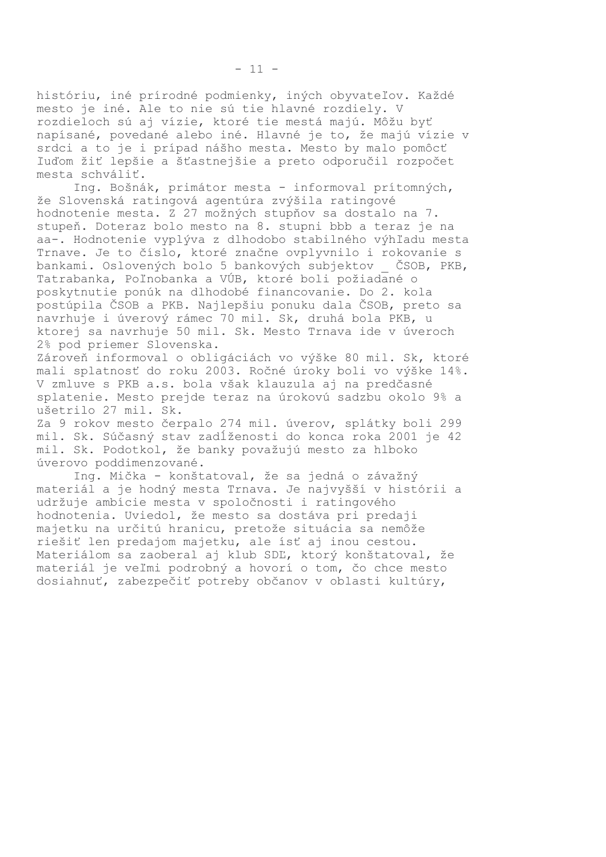históriu, iné prírodné podmienky, iných obyvateľov. Každé mesto je iné. Ale to nie sú tie hlavné rozdiely. V rozdieloch sú aj vízie, ktoré tie mestá majú. Môžu byť napísané, povedané alebo iné. Hlavné je to, že majú vízie v srdci a to je i prípad nášho mesta. Mesto by malo pomôcť ľuďom žiť lepšie a šťastnejšie a preto odporučil rozpočet mesta schváliť.

Ing. Bošnák, primátor mesta - informoval prítomných, že Slovenská ratingová agentúra zvýšila ratingové hodnotenie mesta. Z 27 možných stupňov sa dostalo na 7. stupeň. Doteraz bolo mesto na 8. stupni bbb a teraz je na aa-. Hodnotenie vyplýva z dlhodobo stabilného výhľadu mesta Trnave. Je to číslo, ktoré značne ovplyvnilo i rokovanie s bankami. Oslovených bolo 5 bankových subjektov ČSOB, PKB, Tatrabanka, Poľnobanka a VÚB, ktoré boli požiadané o poskytnutie ponúk na dlhodobé financovanie. Do 2. kola postúpila ČSOB a PKB. Najlepšiu ponuku dala ČSOB, preto sa navrhuje i úverový rámec 70 mil. Sk, druhá bola PKB, u ktorej sa navrhuje 50 mil. Sk. Mesto Trnava ide v úveroch 2% pod priemer Slovenska.

Zároveň informoval o obligáciách vo výške 80 mil. Sk, ktoré mali splatnosť do roku 2003. Ročné úroky boli vo výške 14%. V zmluve s PKB a.s. bola však klauzula aj na predčasné splatenie. Mesto prejde teraz na úrokovú sadzbu okolo 9% a ušetrilo 27 mil. Sk.

Za 9 rokov mesto čerpalo 274 mil. úverov, splátky boli 299 mil. Sk. Súčasný stav zadĺženosti do konca roka 2001 je 42 mil. Sk. Podotkol, že banky považujú mesto za hlboko úverovo poddimenzované.

Ing. Mička - konštatoval, že sa jedná o závažný materiál a je hodný mesta Trnava. Je najvyšší v histórii a udržuje ambície mesta v spoločnosti i ratingového hodnotenia. Uviedol, že mesto sa dostáva pri predaji majetku na určitú hranicu, pretože situácia sa nemôže riešiť len predajom majetku, ale ísť aj inou cestou. Materiálom sa zaoberal aj klub SDĽ, ktorý konštatoval, že materiál je veľmi podrobný a hovorí o tom, čo chce mesto dosiahnuť, zabezpečiť potreby občanov v oblasti kultúry,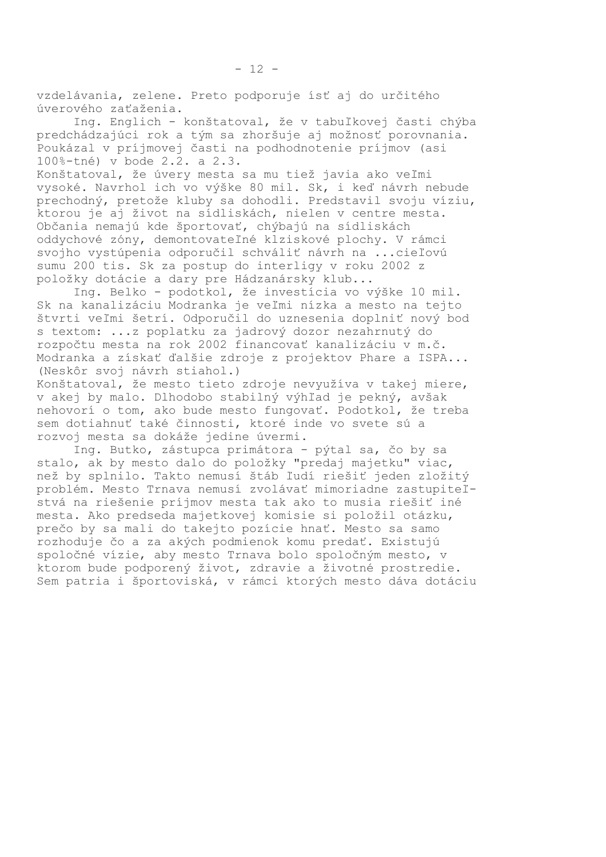vzdelávania, zelene. Preto podporuje ísť aj do určitého úverového zaťaženia.

Ing. Englich - konštatoval, že v tabuľkovej časti chýba predchádzajúci rok a tým sa zhoršuje aj možnosť porovnania. Poukázal v príjmovej časti na podhodnotenie príjmov (asi 100%-tné) v bode 2.2. a 2.3.

Konštatoval, že úvery mesta sa mu tiež javia ako veľmi vysoké. Navrhol ich vo výške 80 mil. Sk, i keď návrh nebude prechodný, pretože kluby sa dohodli. Predstavil svoju víziu, ktorou je aj život na sídliskách, nielen v centre mesta. Občania nemajú kde športovať, chýbajú na sídliskách oddychové zóny, demontovateľné klziskové plochy. V rámci svojho vystúpenia odporučil schváliť návrh na ... cieľovú sumu 200 tis. Sk za postup do interligy v roku 2002 z položky dotácie a dary pre Hádzanársky klub...

Ing. Belko - podotkol, že investícia vo výške 10 mil. Sk na kanalizáciu Modranka je veľmi nízka a mesto na tejto štvrti veľmi šetrí. Odporučil do uznesenia doplniť nový bod s textom: ... z poplatku za jadrový dozor nezahrnutý do rozpočtu mesta na rok 2002 financovať kanalizáciu v m.č. Modranka a získať ďalšie zdroje z projektov Phare a ISPA... (Neskôr svoj návrh stiahol.)

Konštatoval, že mesto tieto zdroje nevyužíva v takej miere, v akej by malo. Dlhodobo stabilný výhľad je pekný, avšak nehovorí o tom, ako bude mesto fungovať. Podotkol, že treba sem dotiahnuť také činnosti, ktoré inde vo svete sú a rozvoj mesta sa dokáže jedine úvermi.

Ing. Butko, zástupca primátora - pýtal sa, čo by sa stalo, ak by mesto dalo do položky "predaj majetku" viac, než by splnilo. Takto nemusí štáb ľudí riešiť jeden zložitý problém. Mesto Trnava nemusí zvolávať mimoriadne zastupiteľstvá na riešenie príjmov mesta tak ako to musia riešiť iné mesta. Ako predseda majetkovej komisie si položil otázku, prečo by sa mali do takejto pozície hnať. Mesto sa samo rozhoduje čo a za akých podmienok komu predať. Existujú spoločné vízie, aby mesto Trnava bolo spoločným mesto, v ktorom bude podporený život, zdravie a životné prostredie. Sem patria i športoviská, v rámci ktorých mesto dáva dotáciu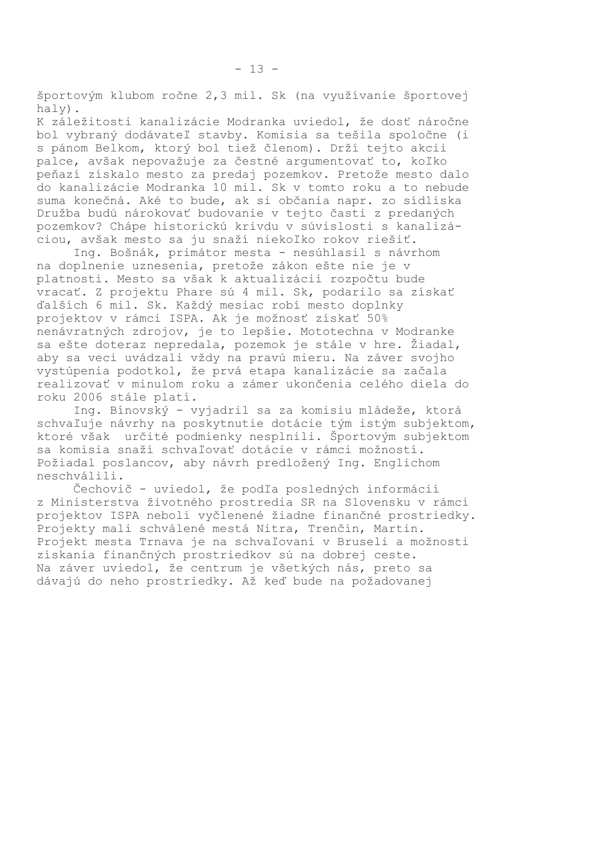športovým klubom ročne 2,3 mil. Sk (na využívanie športovej haly).

 $-13 -$ 

K záležitosti kanalizácie Modranka uviedol, že dosť náročne bol vybraný dodávateľ stavby. Komisia sa tešila spoločne (i s pánom Belkom, ktorý bol tiež členom). Drží tejto akcii palce, avšak nepovažuje za čestné argumentovať to, koľko peňazí získalo mesto za predaj pozemkov. Pretože mesto dalo do kanalizácie Modranka 10 mil. Sk v tomto roku a to nebude suma konečná. Aké to bude, ak si občania napr. zo sídliska Družba budú nárokovať budovanie v tejto časti z predaných pozemkov? Chápe historickú krivdu v súvislosti s kanalizáciou, avšak mesto sa ju snaží niekoľko rokov riešiť.

Ing. Bošnák, primátor mesta - nesúhlasil s návrhom na doplnenie uznesenia, pretože zákon ešte nie je v platnosti. Mesto sa však k aktualizácii rozpočtu bude vracať. Z projektu Phare sú 4 mil. Sk, podarilo sa získať ďalších 6 mil. Sk. Každý mesiac robí mesto doplnky projektov v rámci ISPA. Ak je možnosť získať 50% nenávratných zdrojov, je to lepšie. Mototechna v Modranke sa ešte doteraz nepredala, pozemok je stále v hre. Žiadal, aby sa veci uvádzali vždy na pravú mieru. Na záver svojho vystúpenia podotkol, že prvá etapa kanalizácie sa začala realizovať v minulom roku a zámer ukončenia celého diela do roku 2006 stále platí.

Ing. Bínovský - vyjadril sa za komisiu mládeže, ktorá schvaľuje návrhy na poskytnutie dotácie tým istým subjektom, ktoré však určité podmienky nesplnili. Športovým subjektom sa komisia snaží schvaľovať dotácie v rámci možností. Požiadal poslancov, aby návrh predložený Ing. Englichom neschválili.

Čechovič - uviedol, že podľa posledných informácií z Ministerstva životného prostredia SR na Slovensku v rámci projektov ISPA neboli vyčlenené žiadne finančné prostriedky. Projekty mali schválené mestá Nitra, Trenčín, Martin. Projekt mesta Trnava je na schvaľovaní v Bruseli a možnosti získania finančných prostriedkov sú na dobrej ceste. Na záver uviedol, že centrum je všetkých nás, preto sa dávajú do neho prostriedky. Až keď bude na požadovanej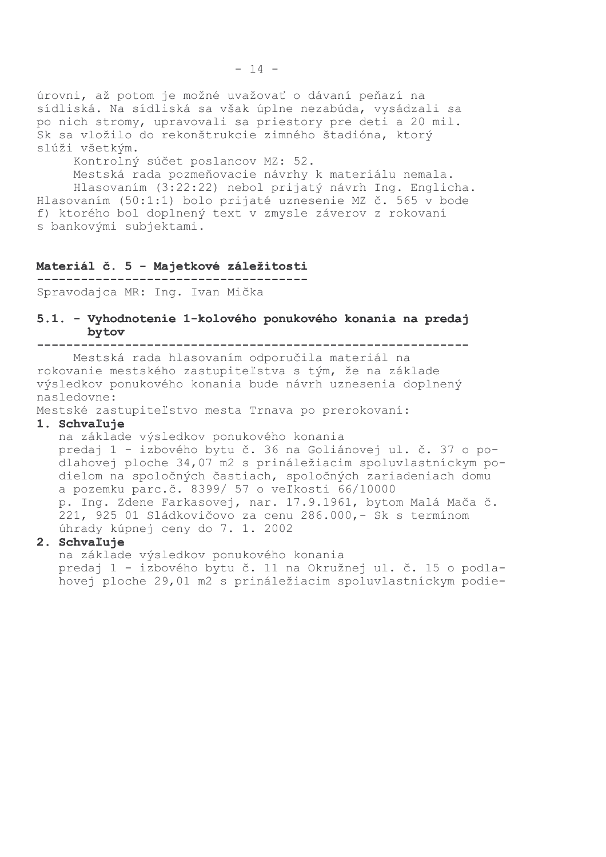úrovni, až potom je možné uvažovať o dávaní peňazí na sídliská. Na sídliská sa však úplne nezabúda, vysádzali sa po nich stromy, upravovali sa priestory pre deti a 20 mil. Sk sa vložilo do rekonštrukcie zimného štadióna, ktorý slúži všetkým.

Kontrolný súčet poslancov MZ: 52.

Mestská rada pozmeňovacie návrhy k materiálu nemala. Hlasovaním (3:22:22) nebol prijatý návrh Ing. Englicha. Hlasovaním (50:1:1) bolo prijaté uznesenie MZ č. 565 v bode f) ktorého bol doplnený text v zmysle záverov z rokovaní s bankovými subjektami.

#### Materiál č. 5 - Majetkové záležitosti

Spravodajca MR: Ing. Ivan Mička

#### 5.1. - Vyhodnotenie 1-kolového ponukového konania na predaj bytov

Mestská rada hlasovaním odporučila materiál na rokovanie mestského zastupiteľstva s tým, že na základe výsledkov ponukového konania bude návrh uznesenia doplnený nasledovne:

Mestské zastupiteľstvo mesta Trnava po prerokovaní:

#### 1. Schvaľuje

na základe výsledkov ponukového konania predaj 1 - izbového bytu č. 36 na Goliánovej ul. č. 37 o podlahovej ploche 34,07 m2 s prináležiacim spoluvlastníckym podielom na spoločných častiach, spoločných zariadeniach domu a pozemku parc.č. 8399/ 57 o veľkosti 66/10000 p. Ing. Zdene Farkasovej, nar. 17.9.1961, bytom Malá Mača č. 221, 925 01 Sládkovičovo za cenu 286.000, - Sk s termínom úhrady kúpnej ceny do 7. 1. 2002

### 2. Schvaľuje

na základe výsledkov ponukového konania predaj 1 - izbového bytu č. 11 na Okružnej ul. č. 15 o podlahovej ploche 29,01 m2 s prináležiacim spoluvlastníckym podie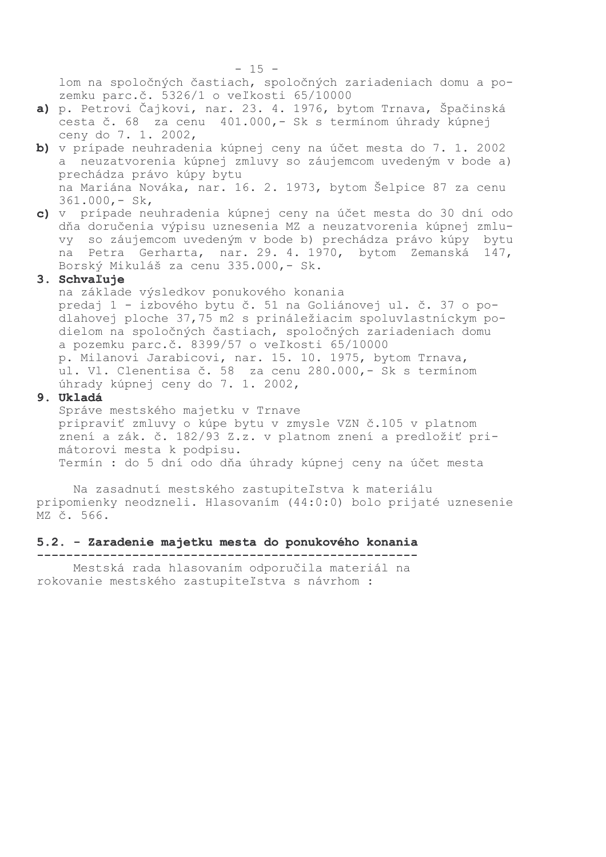lom na spoločných častiach, spoločných zariadeniach domu a pozemku parc.č. 5326/1 o veľkosti 65/10000

- a) p. Petrovi Čajkovi, nar. 23. 4. 1976, bytom Trnava, Špačinská cesta č. 68 za cenu 401.000, - Sk s termínom úhrady kúpnej ceny do 7. 1. 2002,
- b) v prípade neuhradenia kúpnej ceny na účet mesta do 7.1.2002 a neuzatvorenia kúpnej zmluvy so záujemcom uvedeným v bode a) prechádza právo kúpy bytu na Mariána Nováka, nar. 16. 2. 1973, bytom Šelpice 87 za cenu  $361.000 - Sk,$
- c) v prípade neuhradenia kúpnej ceny na účet mesta do 30 dní odo dňa doručenia výpisu uznesenia MZ a neuzatvorenia kúpnej zmluvy so záujemcom uvedeným v bode b) prechádza právo kúpy bytu na Petra Gerharta, nar. 29. 4. 1970, bytom Zemanská 147, Borský Mikuláš za cenu 335.000,- Sk.

### 3. Schvaľuje

na základe výsledkov ponukového konania predaj 1 - izbového bytu č. 51 na Goliánovej ul. č. 37 o podlahovej ploche 37,75 m2 s prináležiacim spoluvlastníckym podielom na spoločných častiach, spoločných zariadeniach domu a pozemku parc.č. 8399/57 o veľkosti 65/10000 p. Milanovi Jarabicovi, nar. 15. 10. 1975, bytom Trnava, ul. Vl. Clenentisa č. 58 za cenu 280.000,- Sk s termínom úhrady kúpnej ceny do 7. 1. 2002,

#### 9. Ukladá

Správe mestského majetku v Trnave pripraviť zmluvy o kúpe bytu v zmysle VZN č.105 v platnom znení a zák. č. 182/93 Z.z. v platnom znení a predložiť primátorovi mesta k podpisu. Termín : do 5 dní odo dňa úhrady kúpnej ceny na účet mesta

Na zasadnutí mestského zastupiteľstva k materiálu pripomienky neodzneli. Hlasovaním (44:0:0) bolo prijaté uznesenie MZ č. 566.

#### 5.2. - Zaradenie majetku mesta do ponukového konania

Mestská rada hlasovaním odporučila materiál na

rokovanie mestského zastupiteľstva s návrhom :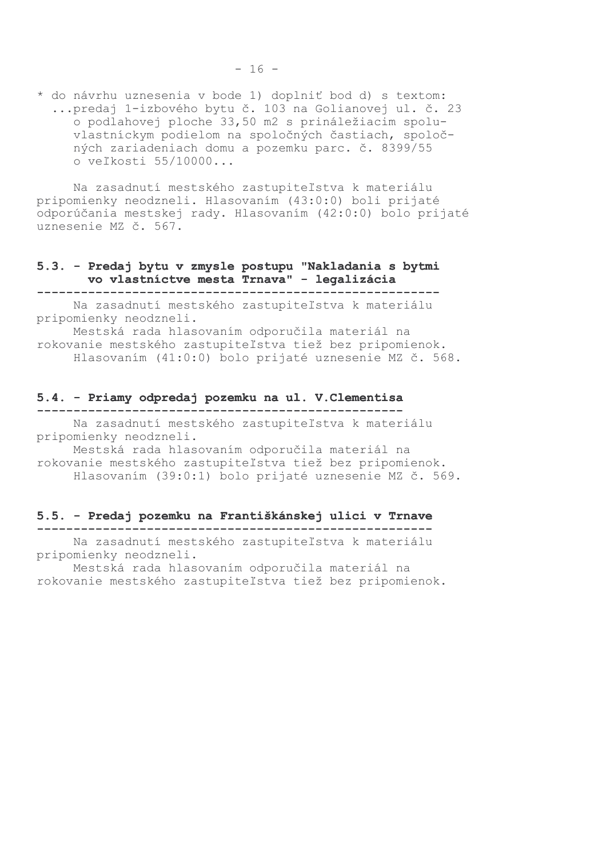Na zasadnutí mestského zastupiteľstva k materiálu pripomienky neodzneli. Hlasovaním (43:0:0) boli prijaté odporúčania mestskej rady. Hlasovaním (42:0:0) bolo prijaté uznesenie MZ č. 567.

#### 5.3. - Predaj bytu v zmysle postupu "Nakladania s bytmi vo vlastníctve mesta Trnava" - legalizácia

Na zasadnutí mestského zastupiteľstva k materiálu pripomienky neodzneli.

Mestská rada hlasovaním odporučila materiál na rokovanie mestského zastupiteľstva tiež bez pripomienok. Hlasovaním (41:0:0) bolo prijaté uznesenie MZ č. 568.

#### 5.4. - Priamy odpredaj pozemku na ul. V. Clementisa

Na zasadnutí mestského zastupiteľstva k materiálu pripomienky neodzneli.

Mestská rada hlasovaním odporučila materiál na rokovanie mestského zastupiteľstva tiež bez pripomienok. Hlasovaním (39:0:1) bolo prijaté uznesenie MZ č. 569.

#### 5.5. - Predaj pozemku na Františkánskej ulici v Trnave

Na zasadnutí mestského zastupiteľstva k materiálu pripomienky neodzneli.

Mestská rada hlasovaním odporučila materiál na rokovanie mestského zastupiteľstva tiež bez pripomienok.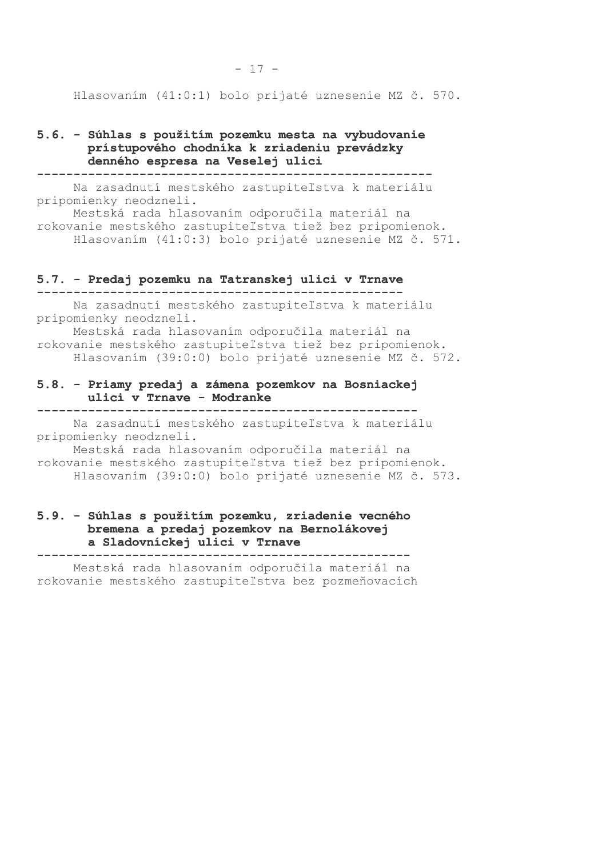Hlasovaním (41:0:1) bolo prijaté uznesenie MZ č. 570.

#### 5.6. - Súhlas s použitím pozemku mesta na vybudovanie prístupového chodníka k zriadeniu prevádzky denného espresa na Veselej ulici

Na zasadnutí mestského zastupiteľstva k materiálu pripomienky neodzneli.

Mestská rada hlasovaním odporučila materiál na rokovanie mestského zastupiteľstva tiež bez pripomienok. Hlasovaním (41:0:3) bolo prijaté uznesenie MZ č. 571.

#### 5.7. - Predaj pozemku na Tatranskej ulici v Trnave

Na zasadnutí mestského zastupiteľstva k materiálu pripomienky neodzneli.

Mestská rada hlasovaním odporučila materiál na rokovanie mestského zastupiteľstva tiež bez pripomienok. Hlasovaním (39:0:0) bolo prijaté uznesenie MZ č. 572.

#### 5.8. - Priamy predaj a zámena pozemkov na Bosniackej ulici v Trnave - Modranke

Na zasadnutí mestského zastupiteľstva k materiálu pripomienky neodzneli.

Mestská rada hlasovaním odporučila materiál na rokovanie mestského zastupiteľstva tiež bez pripomienok. Hlasovaním (39:0:0) bolo prijaté uznesenie MZ č. 573.

### 5.9. - Súhlas s použitím pozemku, zriadenie vecného bremena a predaj pozemkov na Bernolákovej a Sladovníckej ulici v Trnave

Mestská rada hlasovaním odporučila materiál na

rokovanie mestského zastupiteľstva bez pozmeňovacích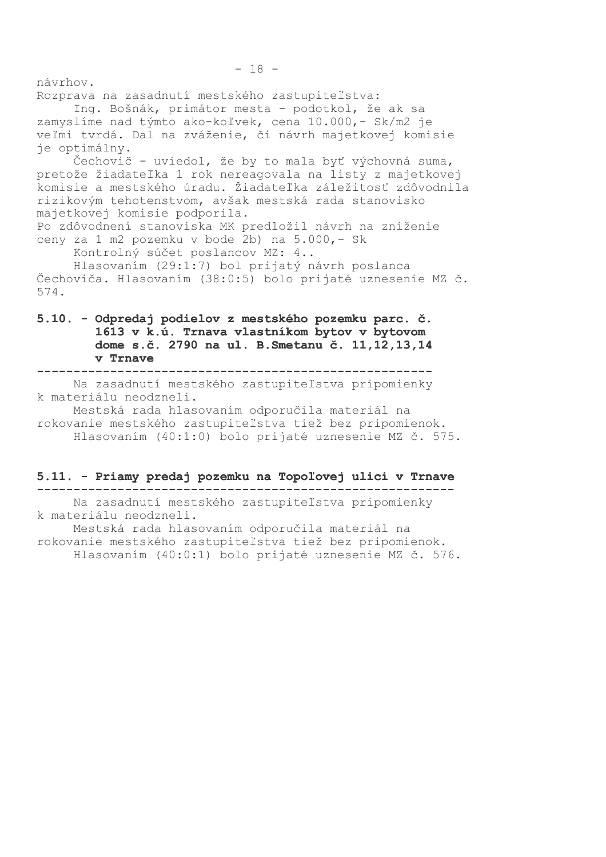návrhov.

Rozprava na zasadnutí mestského zastupiteľstva:

Ing. Bošnák, primátor mesta - podotkol, že ak sa zamyslíme nad týmto ako-koľvek, cena 10.000,- Sk/m2 je veľmi tvrdá. Dal na zváženie, či návrh majetkovej komisie je optimálny.

Čechovič - uviedol, že by to mala byť výchovná suma, pretože žiadateľka 1 rok nereagovala na listy z majetkovej komisie a mestského úradu. Žiadateľka záležitosť zdôvodnila rizikovým tehotenstvom, avšak mestská rada stanovisko majetkovej komisie podporila.

Po zdôvodnení stanoviska MK predložil návrh na zníženie ceny za 1 m2 pozemku v bode 2b) na 5.000, - Sk

Kontrolný súčet poslancov MZ: 4..

Hlasovaním (29:1:7) bol prijatý návrh poslanca Čechoviča. Hlasovaním (38:0:5) bolo prijaté uznesenie MZ č. 574.

## 5.10. - Odpredaj podielov z mestského pozemku parc. č. 1613 v k.ú. Trnava vlastníkom bytov v bytovom dome s.č. 2790 na ul. B. Smetanu č. 11, 12, 13, 14 v Trnave

Na zasadnutí mestského zastupiteľstva pripomienky k materiálu neodzneli.

Mestská rada hlasovaním odporučila materiál na rokovanie mestského zastupiteľstva tiež bez pripomienok. Hlasovaním (40:1:0) bolo prijaté uznesenie MZ č. 575.

#### 5.11. - Priamy predaj pozemku na Topoľovej ulici v Trnave

Na zasadnutí mestského zastupiteľstva pripomienky k materiálu neodzneli.

Mestská rada hlasovaním odporučila materiál na rokovanie mestského zastupiteľstva tiež bez pripomienok. Hlasovaním (40:0:1) bolo prijaté uznesenie MZ č. 576.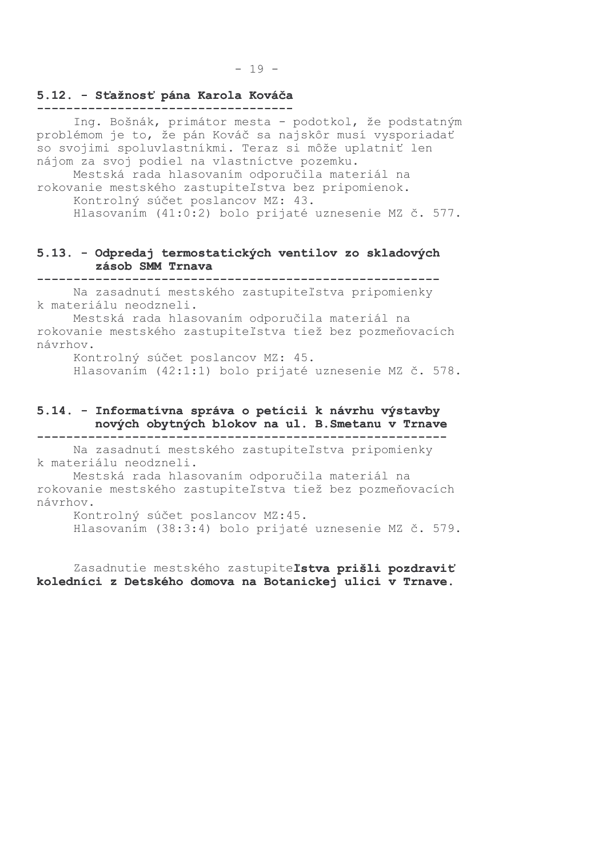### 5.12. - Sťažnosť pána Karola Kováča

Ing. Bošnák, primátor mesta - podotkol, že podstatným problémom je to, že pán Kováč sa najskôr musí vysporiadať so svojimi spoluvlastníkmi. Teraz si môže uplatniť len nájom za svoj podiel na vlastníctve pozemku.

Mestská rada hlasovaním odporučila materiál na rokovanie mestského zastupiteľstva bez pripomienok. Kontrolný súčet poslancov MZ: 43. Hlasovaním (41:0:2) bolo prijaté uznesenie MZ č. 577.

### 5.13. - Odpredaj termostatických ventilov zo skladových zásob SMM Trnava

Na zasadnutí mestského zastupiteľstva pripomienky k materiálu neodzneli.

Mestská rada hlasovaním odporučila materiál na rokovanie mestského zastupiteľstva tiež bez pozmeňovacích návrhov.

Kontrolný súčet poslancov MZ: 45.

Hlasovaním (42:1:1) bolo prijaté uznesenie MZ č. 578.

#### 5.14. - Informatívna správa o petícii k návrhu výstavby nových obytných blokov na ul. B. Smetanu v Trnave

Na zasadnutí mestského zastupiteľstva pripomienky k materiálu neodzneli.

Mestská rada hlasovaním odporučila materiál na rokovanie mestského zastupiteľstva tiež bez pozmeňovacích návrhov.

Kontrolný súčet poslancov MZ:45. Hlasovaním (38:3:4) bolo prijaté uznesenie MZ č. 579.

Zasadnutie mestského zastupiteľstva prišli pozdraviť koledníci z Detského domova na Botanickej ulici v Trnave.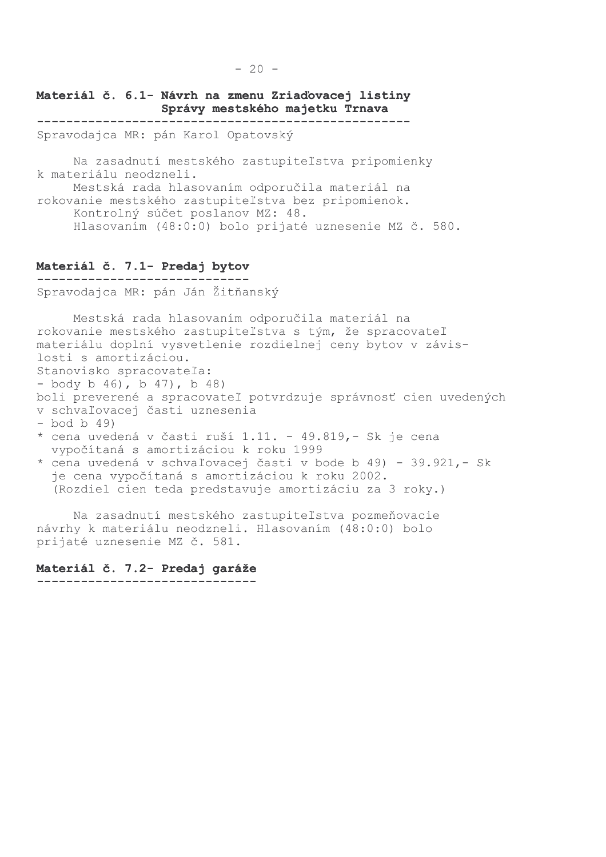## Materiál č. 6.1- Návrh na zmenu Zriaďovacej listiny Správy mestského majetku Trnava

Spravodajca MR: pán Karol Opatovský

Na zasadnutí mestského zastupiteľstva pripomienky k materiálu neodzneli.

Mestská rada hlasovaním odporučila materiál na rokovanie mestského zastupiteľstva bez pripomienok. Kontrolný súčet poslanov MZ: 48. Hlasovaním (48:0:0) bolo prijaté uznesenie MZ č. 580.

#### Materiál č. 7.1- Predaj bytov -----------------------------

Spravodajca MR: pán Ján Žitňanský

Mestská rada hlasovaním odporučila materiál na rokovanie mestského zastupiteľstva s tým, že spracovateľ materiálu doplní vysvetlenie rozdielnej ceny bytov v závislosti s amortizáciou. Stanovisko spracovateľa:  $-$  body b 46), b 47), b 48) boli preverené a spracovateľ potvrdzuje správnosť cien uvedených v schvaľovacej časti uznesenia  $-$  bod b 49) \* cena uvedená v časti ruší 1.11. - 49.819,- Sk je cena vypočítaná s amortizáciou k roku 1999 \* cena uvedená v schvaľovacej časti v bode b 49) - 39.921,- Sk je cena vypočítaná s amortizáciou k roku 2002. (Rozdiel cien teda predstavuje amortizáciu za 3 roky.)

Na zasadnutí mestského zastupiteľstva pozmeňovacie návrhy k materiálu neodzneli. Hlasovaním (48:0:0) bolo prijaté uznesenie MZ č. 581.

#### Materiál č. 7.2- Predaj garáže

------------------------------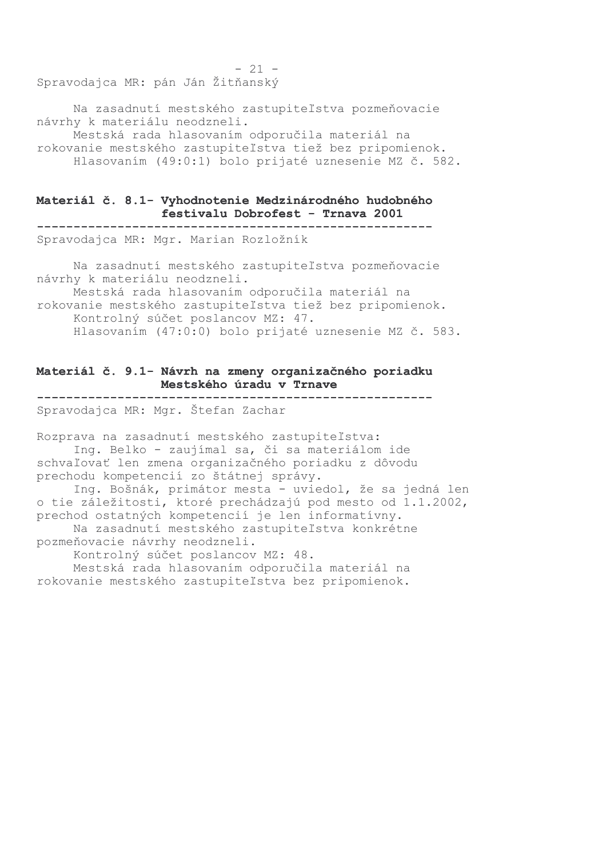Spravodajca MR: pán Ján Žitňanský

Na zasadnutí mestského zastupiteľstva pozmeňovacie návrhy k materiálu neodzneli.

Mestská rada hlasovaním odporučila materiál na rokovanie mestského zastupiteľstva tiež bez pripomienok. Hlasovaním (49:0:1) bolo prijaté uznesenie MZ č. 582.

 $-21 -$ 

#### Materiál č. 8.1- Vyhodnotenie Medzinárodného hudobného festivalu Dobrofest - Trnava 2001

Spravodajca MR: Mgr. Marian Rozložník

Na zasadnutí mestského zastupiteľstva pozmeňovacie návrhy k materiálu neodzneli.

Mestská rada hlasovaním odporučila materiál na rokovanie mestského zastupiteľstva tiež bez pripomienok. Kontrolný súčet poslancov MZ: 47. Hlasovaním (47:0:0) bolo prijaté uznesenie MZ č. 583.

### Materiál č. 9.1- Návrh na zmeny organizačného poriadku Mestského úradu v Trnave

Spravodajca MR: Mgr. Štefan Zachar

Rozprava na zasadnutí mestského zastupiteľstva: Ing. Belko - zaujímal sa, či sa materiálom ide schvaľovať len zmena organizačného poriadku z dôvodu prechodu kompetencií zo štátnej správy.

Ing. Bošnák, primátor mesta - uviedol, že sa jedná len o tie záležitosti, ktoré prechádzajú pod mesto od 1.1.2002, prechod ostatných kompetencií je len informatívny. Na zasadnutí mestského zastupiteľstva konkrétne pozmeňovacie návrhy neodzneli.

Kontrolný súčet poslancov MZ: 48.

Mestská rada hlasovaním odporučila materiál na rokovanie mestského zastupiteľstva bez pripomienok.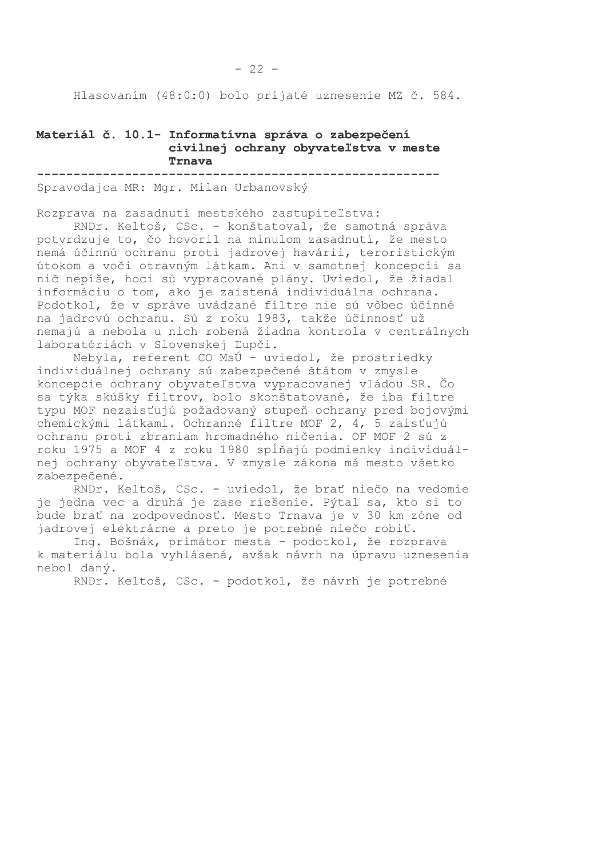$-22 -$ 

#### Materiál č. 10.1- Informatívna správa o zabezpečení civilnej ochrany obyvateľstva v meste Trnava

Spravodajca MR: Mgr. Milan Urbanovský

Rozprava na zasadnutí mestského zastupiteľstva:

RNDr. Keltoš, CSc. - konštatoval, že samotná správa potvrdzuje to, čo hovoril na minulom zasadnutí, že mesto nemá účinnú ochranu proti jadrovej havárii, teroristickým útokom a voči otravným látkam. Ani v samotnej koncepcii sa nič nepíše, hoci sú vypracované plány. Uviedol, že žiadal informáciu o tom, ako je zaistená individuálna ochrana. Podotkol, že v správe uvádzané filtre nie sú vôbec účinné na jadrovú ochranu. Sú z roku 1983, takže účinnosť už nemajú a nebola u nich robená žiadna kontrola v centrálnych laboratóriách v Slovenskej Ľupči.

Nebyla, referent CO MsÚ - uviedol, že prostriedky individuálnej ochrany sú zabezpečené štátom v zmysle koncepcie ochrany obyvateľstva vypracovanej vládou SR. Čo sa týka skúšky filtrov, bolo skonštatované, že iba filtre typu MOF nezaisťujú požadovaný stupeň ochrany pred bojovými chemickými látkami. Ochranné filtre MOF 2, 4, 5 zaisťujú ochranu proti zbraniam hromadného ničenia. OF MOF 2 sú z roku 1975 a MOF 4 z roku 1980 spĺňajú podmienky individuálnej ochrany obyvateľstva. V zmysle zákona má mesto všetko zabezpečené.

RNDr. Keltoš, CSc. - uviedol, že brať niečo na vedomie je jedna vec a druhá je zase riešenie. Pýtal sa, kto si to bude brať na zodpovednosť. Mesto Trnava je v 30 km zóne od jadrovej elektrárne a preto je potrebné niečo robiť.

Ing. Bošnák, primátor mesta - podotkol, že rozprava k materiálu bola vyhlásená, avšak návrh na úpravu uznesenia nebol daný.

RNDr. Keltoš, CSc. - podotkol, že návrh je potrebné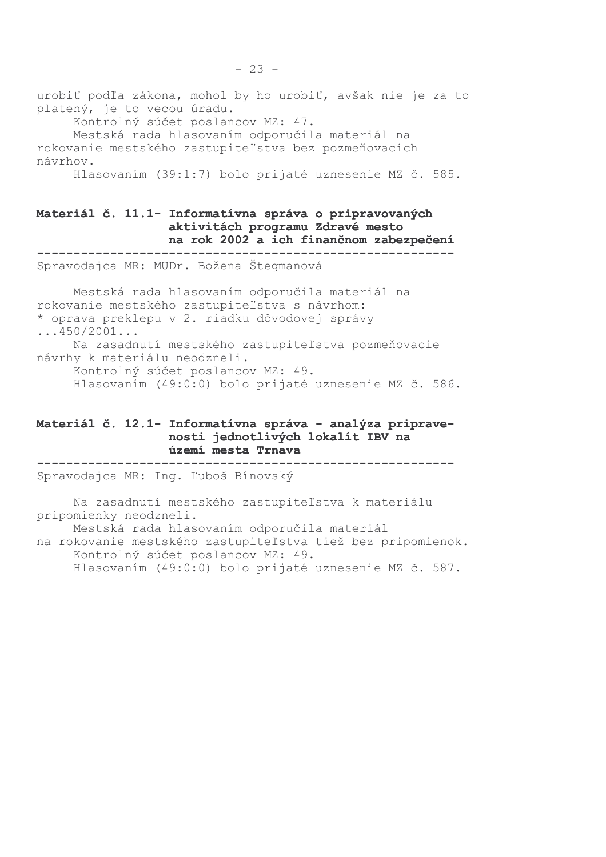urobiť podľa zákona, mohol by ho urobiť, avšak nie je za to platený, je to vecou úradu.

Kontrolný súčet poslancov MZ: 47.

Mestská rada hlasovaním odporučila materiál na rokovanie mestského zastupiteľstva bez pozmeňovacích návrhov.

Hlasovaním (39:1:7) bolo prijaté uznesenie MZ č. 585.

#### Materiál č. 11.1- Informatívna správa o pripravovaných aktivitách programu Zdravé mesto na rok 2002 a ich finančnom zabezpečení

Spravodajca MR: MUDr. Božena Štegmanová

Mestská rada hlasovaním odporučila materiál na rokovanie mestského zastupiteľstva s návrhom: \* oprava preklepu v 2. riadku dôvodovej správy  $\ldots$ 450/2001...

Na zasadnutí mestského zastupiteľstva pozmeňovacie návrhy k materiálu neodzneli.

Kontrolný súčet poslancov MZ: 49.

Hlasovaním (49:0:0) bolo prijaté uznesenie MZ č. 586.

### Materiál č. 12.1- Informatívna správa - analýza pripravenosti jednotlivých lokalít IBV na území mesta Trnava

Spravodajca MR: Inq. Ľuboš Bínovský

Na zasadnutí mestského zastupiteľstva k materiálu pripomienky neodzneli. Mestská rada hlasovaním odporučila materiál na rokovanie mestského zastupiteľstva tiež bez pripomienok. Kontrolný súčet poslancov MZ: 49. Hlasovaním (49:0:0) bolo prijaté uznesenie MZ č. 587.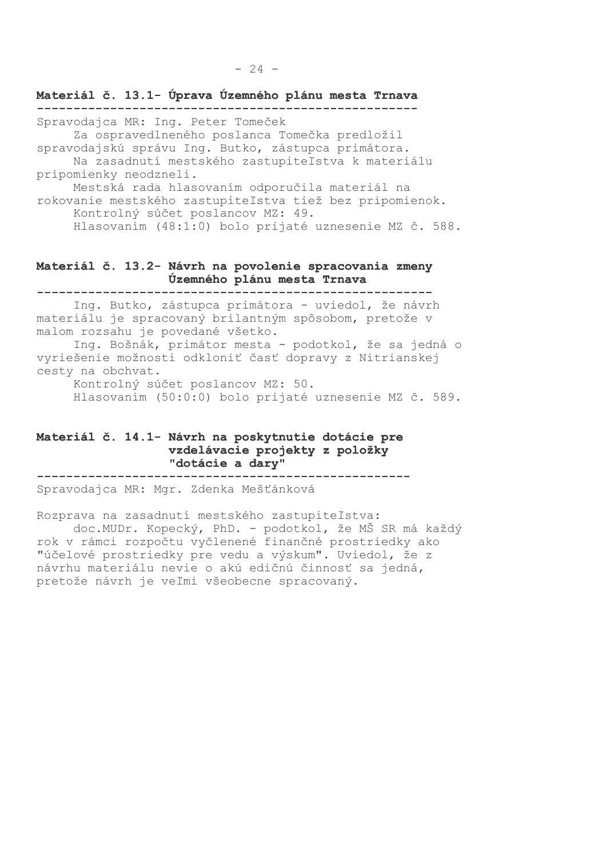Materiál č. 13.1- Úprava Územného plánu mesta Trnava Spravodajca MR: Ing. Peter Tomeček Za ospravedlneného poslanca Tomečka predložil spravodajskú správu Ing. Butko, zástupca primátora. Na zasadnutí mestského zastupiteľstva k materiálu pripomienky neodzneli. Mestská rada hlasovaním odporučila materiál na rokovanie mestského zastupiteľstva tiež bez pripomienok. Kontrolný súčet poslancov MZ: 49. Hlasovaním (48:1:0) bolo prijaté uznesenie MZ č. 588.

## Materiál č. 13.2- Návrh na povolenie spracovania zmeny Územného plánu mesta Trnava

Ing. Butko, zástupca primátora - uviedol, že návrh materiálu je spracovaný brilantným spôsobom, pretože v malom rozsahu je povedané všetko.

Ing. Bošnák, primátor mesta - podotkol, že sa jedná o vyriešenie možnosti odkloniť časť dopravy z Nitrianskej cesty na obchvat.

Kontrolný súčet poslancov MZ: 50. Hlasovaním (50:0:0) bolo prijaté uznesenie MZ č. 589.

#### Materiál č. 14.1- Návrh na poskytnutie dotácie pre vzdelávacie projekty z položky "dotácie a dary"

Spravodajca MR: Mgr. Zdenka Mešťánková

Rozprava na zasadnutí mestského zastupiteľstva:

doc. MUDr. Kopecký, PhD. - podotkol, že MŠ SR má každý rok v rámci rozpočtu vyčlenené finančné prostriedky ako "účelové prostriedky pre vedu a výskum". Uviedol, že z návrhu materiálu nevie o akú edičnú činnosť sa jedná, pretože návrh je veľmi všeobecne spracovaný.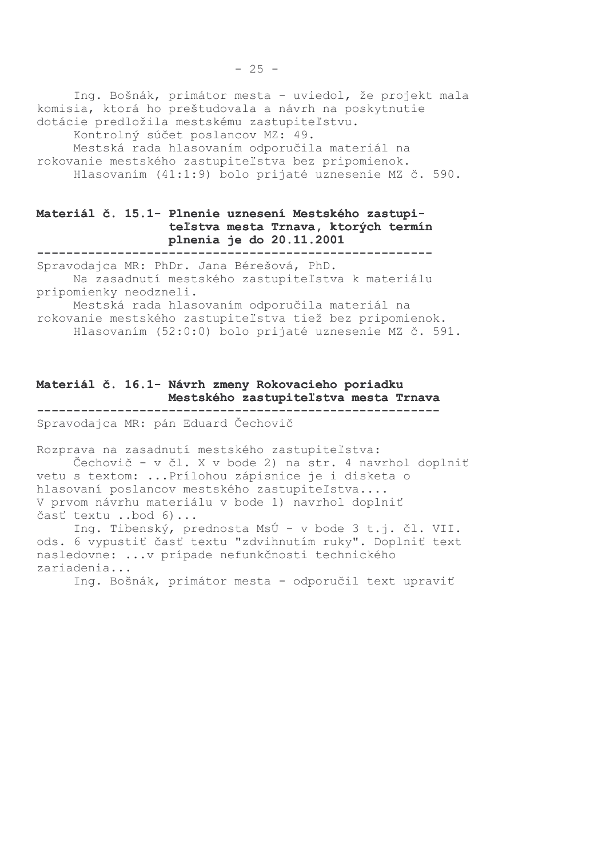Ing. Bošnák, primátor mesta - uviedol, že projekt mala komisia, ktorá ho preštudovala a návrh na poskytnutie dotácie predložila mestskému zastupiteľstvu. Kontrolný súčet poslancov MZ: 49.

Mestská rada hlasovaním odporučila materiál na rokovanie mestského zastupiteľstva bez pripomienok. Hlasovaním (41:1:9) bolo prijaté uznesenie MZ č. 590.

### Materiál č. 15.1- Plnenie uznesení Mestského zastupiteľstva mesta Trnava, ktorých termín plnenia je do 20.11.2001

Spravodajca MR: PhDr. Jana Bérešová, PhD.

Na zasadnutí mestského zastupiteľstva k materiálu pripomienky neodzneli.

Mestská rada hlasovaním odporučila materiál na rokovanie mestského zastupiteľstva tiež bez pripomienok. Hlasovaním (52:0:0) bolo prijaté uznesenie MZ č. 591.

## Materiál č. 16.1- Návrh zmeny Rokovacieho poriadku Mestského zastupiteľstva mesta Trnava

Spravodajca MR: pán Eduard Čechovič

Rozprava na zasadnutí mestského zastupiteľstva: Čechovič - v čl. X v bode 2) na str. 4 navrhol doplniť vetu s textom: ... Prílohou zápisnice je i disketa o hlasovaní poslancov mestského zastupiteľstva.... V prvom návrhu materiálu v bode 1) navrhol doplniť časť textu ..bod 6)...

Ing. Tibenský, prednosta MsÚ - v bode 3 t.j. čl. VII. ods. 6 vypustiť časť textu "zdvihnutím ruky". Doplniť text nasledovne: ...v prípade nefunkčnosti technického zariadenia...

Ing. Bošnák, primátor mesta - odporučil text upraviť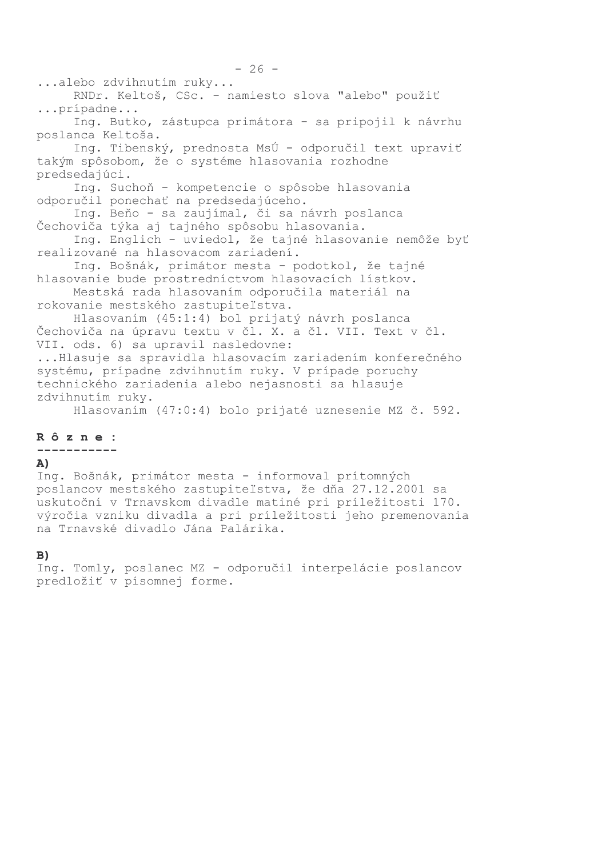...alebo zdvihnutím ruky... RNDr. Keltoš, CSc. - namiesto slova "alebo" použiť ...prípadne... Ing. Butko, zástupca primátora - sa pripojil k návrhu poslanca Keltoša. Ing. Tibenský, prednosta MsÚ - odporučil text upraviť takým spôsobom, že o systéme hlasovania rozhodne predsedajúci. Ing. Suchoň - kompetencie o spôsobe hlasovania odporučil ponechať na predsedajúceho. Ing. Beňo - sa zaujímal, či sa návrh poslanca Čechoviča týka aj tajného spôsobu hlasovania. Ing. Englich - uviedol, že tajné hlasovanie nemôže byť realizované na hlasovacom zariadení. Ing. Bošnák, primátor mesta - podotkol, že tajné hlasovanie bude prostredníctvom hlasovacích lístkov. Mestská rada hlasovaním odporučila materiál na rokovanie mestského zastupiteľstva. Hlasovaním (45:1:4) bol prijatý návrh poslanca Čechoviča na úpravu textu v čl. X. a čl. VII. Text v čl. VII. ods. 6) sa upravil nasledovne: ... Hlasuje sa spravidla hlasovacím zariadením konferečného systému, prípadne zdvihnutím ruky. V prípade poruchy technického zariadenia alebo nejasnosti sa hlasuje zdvihnutím ruky.

Hlasovaním (47:0:4) bolo prijaté uznesenie MZ č. 592.

#### Rôzne:

-----------

## A)

Ing. Bošnák, primátor mesta - informoval prítomných poslancov mestského zastupiteľstva, že dňa 27.12.2001 sa uskutoční v Trnavskom divadle matiné pri príležitosti 170. výročia vzniku divadla a pri príležitosti jeho premenovania na Trnavské divadlo Jána Palárika.

#### $B)$

Ing. Tomly, poslanec MZ - odporučil interpelácie poslancov predložiť v písomnej forme.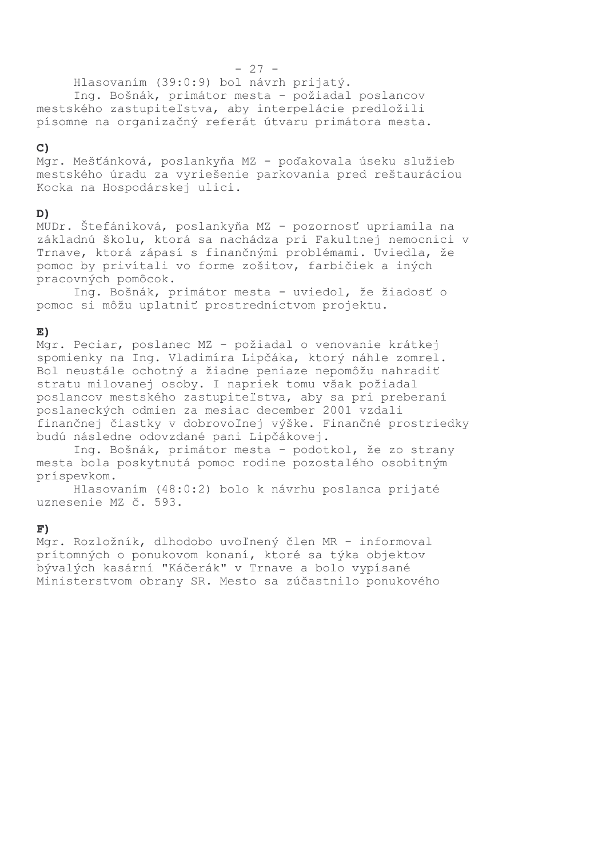Hlasovaním (39:0:9) bol návrh prijatý.

Ing. Bošnák, primátor mesta - požiadal poslancov mestského zastupiteľstva, aby interpelácie predložili písomne na organizačný referát útvaru primátora mesta.

## $\mathbf{C}$

Mgr. Mešťánková, poslankyňa MZ - poďakovala úseku služieb mestského úradu za vyriešenie parkovania pred reštauráciou Kocka na Hospodárskej ulici.

## D)

MUDr. Štefániková, poslankyňa MZ - pozornosť upriamila na základnú školu, ktorá sa nachádza pri Fakultnej nemocnici v Trnave, ktorá zápasí s finančnými problémami. Uviedla, že pomoc by privítali vo forme zošitov, farbičiek a iných pracovných pomôcok.

Ing. Bošnák, primátor mesta - uviedol, že žiadosť o pomoc si môžu uplatniť prostredníctvom projektu.

## $E)$

Mgr. Peciar, poslanec MZ - požiadal o venovanie krátkej spomienky na Ing. Vladimíra Lipčáka, ktorý náhle zomrel. Bol neustále ochotný a žiadne peniaze nepomôžu nahradiť stratu milovanej osoby. I napriek tomu však požiadal poslancov mestského zastupiteľstva, aby sa pri preberaní poslaneckých odmien za mesiac december 2001 vzdali finančnej čiastky v dobrovoľnej výške. Finančné prostriedky budú následne odovzdané pani Lipčákovej.

Ing. Bošnák, primátor mesta - podotkol, že zo strany mesta bola poskytnutá pomoc rodine pozostalého osobitným príspevkom.

Hlasovaním (48:0:2) bolo k návrhu poslanca prijaté uznesenie MZ č. 593.

## $F)$

Mgr. Rozložník, dlhodobo uvoľnený člen MR - informoval prítomných o ponukovom konaní, ktoré sa týka objektov bývalých kasární "Káčerák" v Trnave a bolo vypísané Ministerstvom obrany SR. Mesto sa zúčastnilo ponukového